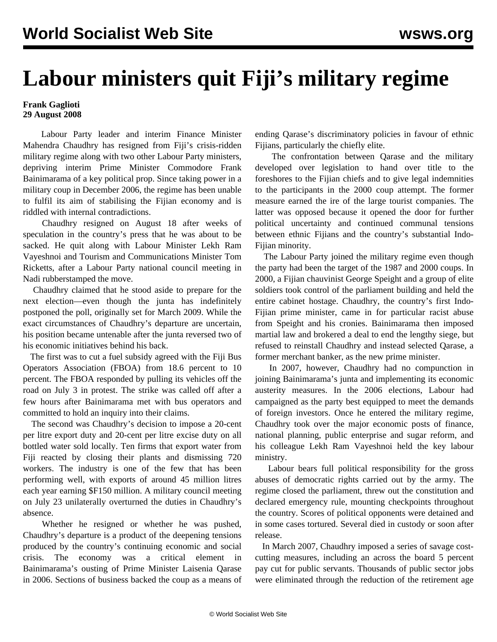## **Labour ministers quit Fiji's military regime**

## **Frank Gaglioti 29 August 2008**

 Labour Party leader and interim Finance Minister Mahendra Chaudhry has resigned from Fiji's crisis-ridden military regime along with two other Labour Party ministers, depriving interim Prime Minister Commodore Frank Bainimarama of a key political prop. Since taking power in a military coup in December 2006, the regime has been unable to fulfil its aim of stabilising the Fijian economy and is riddled with internal contradictions.

 Chaudhry resigned on August 18 after weeks of speculation in the country's press that he was about to be sacked. He quit along with Labour Minister Lekh Ram Vayeshnoi and Tourism and Communications Minister Tom Ricketts, after a Labour Party national council meeting in Nadi rubberstamped the move.

 Chaudhry claimed that he stood aside to prepare for the next election—even though the junta has indefinitely postponed the poll, originally set for March 2009. While the exact circumstances of Chaudhry's departure are uncertain, his position became untenable after the junta reversed two of his economic initiatives behind his back.

 The first was to cut a fuel subsidy agreed with the Fiji Bus Operators Association (FBOA) from 18.6 percent to 10 percent. The FBOA responded by pulling its vehicles off the road on July 3 in protest. The strike was called off after a few hours after Bainimarama met with bus operators and committed to hold an inquiry into their claims.

 The second was Chaudhry's decision to impose a 20-cent per litre export duty and 20-cent per litre excise duty on all bottled water sold locally. Ten firms that export water from Fiji reacted by closing their plants and dismissing 720 workers. The industry is one of the few that has been performing well, with exports of around 45 million litres each year earning \$F150 million. A military council meeting on July 23 unilaterally overturned the duties in Chaudhry's absence.

 Whether he resigned or whether he was pushed, Chaudhry's departure is a product of the deepening tensions produced by the country's continuing economic and social crisis. The economy was a critical element in Bainimarama's ousting of Prime Minister Laisenia Qarase in 2006. Sections of business backed the coup as a means of ending Qarase's discriminatory policies in favour of ethnic Fijians, particularly the chiefly elite.

 The confrontation between Qarase and the military developed over legislation to hand over title to the foreshores to the Fijian chiefs and to give legal indemnities to the participants in the 2000 coup attempt. The former measure earned the ire of the large tourist companies. The latter was opposed because it opened the door for further political uncertainty and continued communal tensions between ethnic Fijians and the country's substantial Indo-Fijian minority.

 The Labour Party joined the military regime even though the party had been the target of the 1987 and 2000 coups. In 2000, a Fijian chauvinist George Speight and a group of elite soldiers took control of the parliament building and held the entire cabinet hostage. Chaudhry, the country's first Indo-Fijian prime minister, came in for particular racist abuse from Speight and his cronies. Bainimarama then imposed martial law and brokered a deal to end the lengthy siege, but refused to reinstall Chaudhry and instead selected Qarase, a former merchant banker, as the new prime minister.

 In 2007, however, Chaudhry had no compunction in joining Bainimarama's junta and implementing its economic austerity measures. In the 2006 elections, Labour had campaigned as the party best equipped to meet the demands of foreign investors. Once he entered the military regime, Chaudhry took over the major economic posts of finance, national planning, public enterprise and sugar reform, and his colleague Lekh Ram Vayeshnoi held the key labour ministry.

 Labour bears full political responsibility for the gross abuses of democratic rights carried out by the army. The regime closed the parliament, threw out the constitution and declared emergency rule, mounting checkpoints throughout the country. Scores of political opponents were detained and in some cases tortured. Several died in custody or soon after release.

 In March 2007, Chaudhry imposed a series of savage costcutting measures, including an across the board 5 percent pay cut for public servants. Thousands of public sector jobs were eliminated through the reduction of the retirement age